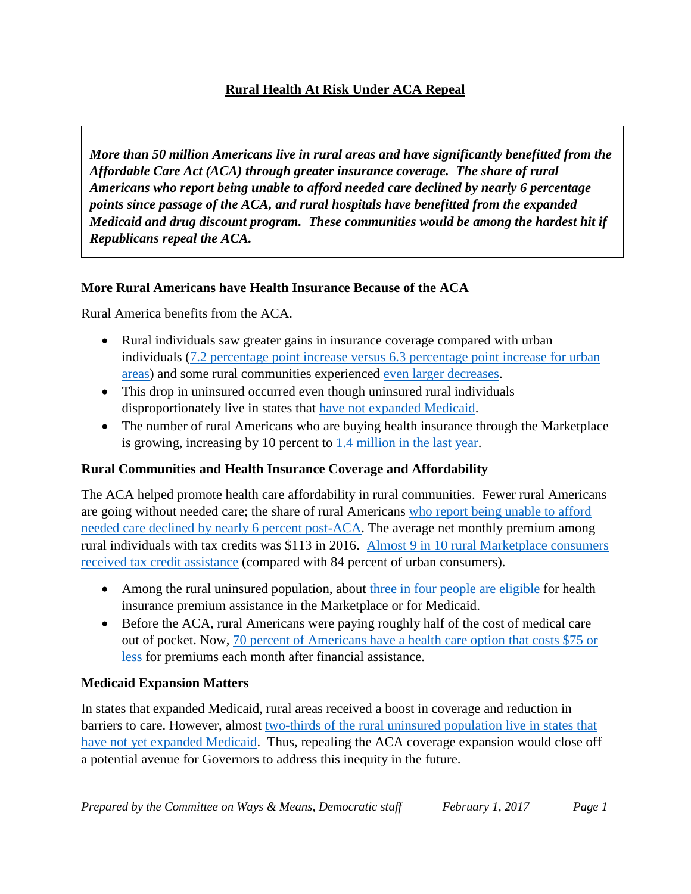## **Rural Health At Risk Under ACA Repeal**

*More than 50 million Americans live in rural areas and have significantly benefitted from the Affordable Care Act (ACA) through greater insurance coverage. The share of rural Americans who report being unable to afford needed care declined by nearly 6 percentage points since passage of the ACA, and rural hospitals have benefitted from the expanded Medicaid and drug discount program. These communities would be among the hardest hit if Republicans repeal the ACA.*

#### **More Rural Americans have Health Insurance Because of the ACA**

Rural America benefits from the ACA.

- Rural individuals saw greater gains in insurance coverage compared with urban individuals [\(7.2 percentage point increase versus 6.3 percentage point increase for urban](http://hrms.urban.org/quicktakes/Substantial-Gains-in-Health-Insurance-Coverage-Occurring-for-Adults-in-Both-Rural-and-Urban-Areas.html)  [areas\)](http://hrms.urban.org/quicktakes/Substantial-Gains-in-Health-Insurance-Coverage-Occurring-for-Adults-in-Both-Rural-and-Urban-Areas.html) and some rural communities experienced [even larger decreases.](http://www.npr.org/sections/health-shots/2016/11/19/502580120/in-depressed-rural-kentucky-worries-mount-over-medicaid-cutbacks)
- This drop in uninsured occurred even though uninsured rural individuals disproportionately live in states that [have not expanded Medicaid.](https://aspe.hhs.gov/sites/default/files/pdf/204986/ACARuralbrief.pdf)
- The number of rural Americans who are buying health insurance through the Marketplace is growing, increasing by 10 percent to [1.4 million in the last year.](http://www.public-health.uiowa.edu/rupri/publications/policybriefs/2017/Rural%20Enrollment%20in%20Health%20Insurance%20Marketplaces%20by%20State%202016.pdf)

#### **Rural Communities and Health Insurance Coverage and Affordability**

The ACA helped promote health care affordability in rural communities. Fewer rural Americans are going without needed care; the share of rural Americans [who report being unable to afford](https://aspe.hhs.gov/sites/default/files/pdf/204986/ACARuralbrief.pdf)  [needed care declined by nearly 6 percent post-ACA.](https://aspe.hhs.gov/sites/default/files/pdf/204986/ACARuralbrief.pdf) The average net monthly premium among rural individuals with tax credits was \$113 in 2016. Almost [9 in 10 rural Marketplace consumers](https://aspe.hhs.gov/sites/default/files/pdf/204986/ACARuralbrief.pdf)  [received tax credit assistance](https://aspe.hhs.gov/sites/default/files/pdf/204986/ACARuralbrief.pdf) (compared with 84 percent of urban consumers).

- Among the rural uninsured population, about [three in four people are eligible](http://kff.org/uninsured/issue-brief/the-affordable-care-act-and-insurance-coverage-in-rural-areas/) for health insurance premium assistance in the Marketplace or for Medicaid.
- Before the ACA, rural Americans were paying roughly half of the cost of medical care out of pocket. Now, [70 percent of Americans have a health care option that costs \\$75 or](https://www.flickr.com/photos/usdagov/15835288045/sizes/l)  [less](https://www.flickr.com/photos/usdagov/15835288045/sizes/l) for premiums each month after financial assistance.

#### **Medicaid Expansion Matters**

In states that expanded Medicaid, rural areas received a boost in coverage and reduction in barriers to care. However, almost [two-thirds of the rural uninsured population live in states that](http://kff.org/uninsured/issue-brief/the-affordable-care-act-and-insurance-coverage-in-rural-areas/)  [have not yet expanded Medicaid.](http://kff.org/uninsured/issue-brief/the-affordable-care-act-and-insurance-coverage-in-rural-areas/) Thus, repealing the ACA coverage expansion would close off a potential avenue for Governors to address this inequity in the future.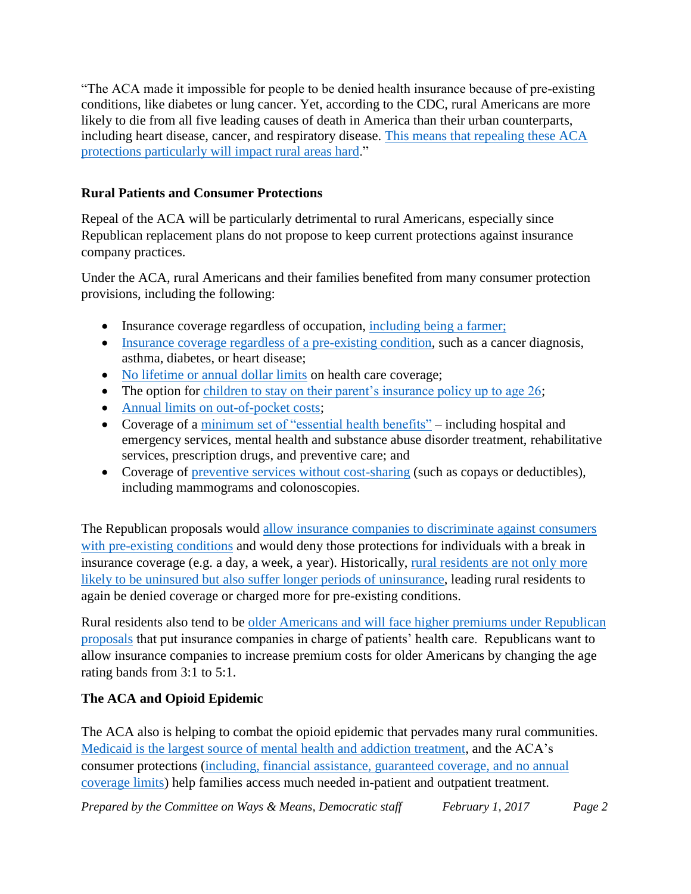"The ACA made it impossible for people to be denied health insurance because of pre-existing conditions, like diabetes or lung cancer. Yet, according to the CDC, rural Americans are more likely to die from all five leading causes of death in America than their urban counterparts, including heart disease, cancer, and respiratory disease. [This means that repealing these ACA](http://ksmu.org/post/rural-missourians-face-unique-challenges-if-aca-repealed#stream/0)  [protections particularly will impact rural areas hard.](http://ksmu.org/post/rural-missourians-face-unique-challenges-if-aca-repealed#stream/0)"

## **Rural Patients and Consumer Protections**

Repeal of the ACA will be particularly detrimental to rural Americans, especially since Republican replacement plans do not propose to keep current protections against insurance company practices.

Under the ACA, rural Americans and their families benefited from many consumer protection provisions, including the following:

- Insurance coverage regardless of occupation, [including being a farmer;](https://bangordailynews.com/2017/01/31/homestead/why-some-maine-farmers-dont-want-obamacare-repealed/)
- [Insurance coverage regardless of](https://www.hhs.gov/healthcare/facts-and-features/key-features-of-aca-by-year/index.html) <u>a pre-existing condition</u>, such as a cancer diagnosis, asthma, diabetes, or heart disease;
- [No lifetime or annual dollar limits](https://www.hhs.gov/healthcare/facts-and-features/key-features-of-aca-by-year/index.html) on health care coverage;
- The option for [children to stay on their parent's insurance policy up to age 26;](https://www.hhs.gov/healthcare/facts-and-features/key-features-of-aca-by-year/index.html)
- [Annual limits on out-of-pocket costs;](https://www.hhs.gov/healthcare/facts-and-features/key-features-of-aca-by-year/index.html)
- Coverage of a [minimum set of "essential health benefits"](https://www.healthcare.gov/coverage/what-marketplace-plans-cover/) including hospital and emergency services, mental health and substance abuse disorder treatment, rehabilitative services, prescription drugs, and preventive care; and
- Coverage of [preventive services without cost-sharing](https://www.healthcare.gov/coverage/what-marketplace-plans-cover/) (such as copays or deductibles), including mammograms and colonoscopies.

The Republican proposals would allow [insurance companies to discriminate against consumers](http://abetterway.speaker.gov/_assets/pdf/ABetterWay-HealthCare-PolicyPaper.pdf)  [with pre-existing conditions](http://abetterway.speaker.gov/_assets/pdf/ABetterWay-HealthCare-PolicyPaper.pdf) and would deny those protections for individuals with a break in insurance coverage (e.g. a day, a week, a year). Historically, [rural residents are not only more](https://www.hrsa.gov/advisorycommittees/rural/publications/ruralimplications.pdf)  [likely to be uninsured but also suffer longer periods](https://www.hrsa.gov/advisorycommittees/rural/publications/ruralimplications.pdf) of uninsurance, leading rural residents to again be denied coverage or charged more for pre-existing conditions.

Rural residents also tend to be older Americans [and will face higher premiums under Republican](http://www.aarp.org/about-aarp/press-center/info-01-2017/aarp-opposes-age-rating-bill-threatens-drive-up-health-costs.html)  [proposals](http://www.aarp.org/about-aarp/press-center/info-01-2017/aarp-opposes-age-rating-bill-threatens-drive-up-health-costs.html) that put insurance companies in charge of patients' health care. Republicans want to allow insurance companies to increase premium costs for older Americans by changing the age rating bands from 3:1 to 5:1.

## **The ACA and Opioid Epidemic**

The ACA also is helping to combat the opioid epidemic that pervades many rural communities. [Medicaid is the largest source of mental health and addiction treatment,](https://www.medicaid.gov/medicaid/benefits/bhs/index.html) and the ACA's consumer protections (including, [financial assistance, guaranteed coverage, and no annual](https://www.hhs.gov/healthcare/facts-and-features/key-features-of-aca-by-year/index.html)  [coverage limits\)](https://www.hhs.gov/healthcare/facts-and-features/key-features-of-aca-by-year/index.html) help families access much needed in-patient and outpatient treatment.

*Prepared by the Committee on Ways & Means, Democratic staff* February 1, 2017 Page 2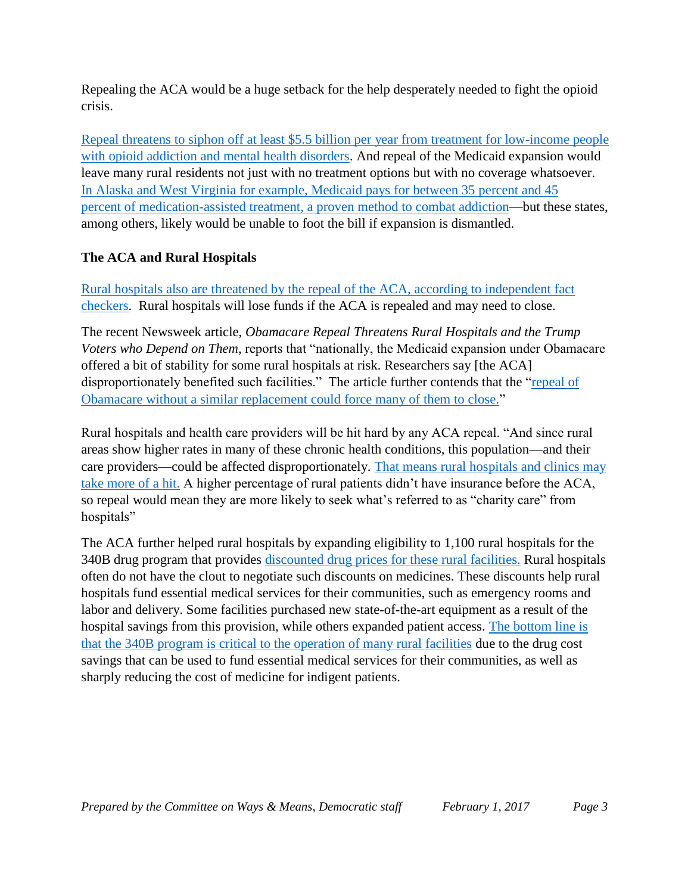Repealing the ACA would be a huge setback for the help desperately needed to fight the opioid crisis.

Repeal threatens to siphon off at least \$5.5 billion per year [from treatment for low-income people](https://www.americanprogress.org/issues/poverty/news/2017/01/12/296438/how-republican-budget-cuts-would-make-the-opioid-epidemic-even-worse/http:/thehill.com/blogs/pundits-blog/healthcare/313672-keep-obamacare-to-keep-progress-on-treating-opioid-disorders)  [with opioid addiction and mental health disorders.](https://www.americanprogress.org/issues/poverty/news/2017/01/12/296438/how-republican-budget-cuts-would-make-the-opioid-epidemic-even-worse/http:/thehill.com/blogs/pundits-blog/healthcare/313672-keep-obamacare-to-keep-progress-on-treating-opioid-disorders) And repeal of the Medicaid expansion would leave many rural residents not just with no treatment options but with no coverage whatsoever. [In Alaska and West Virginia for example, Medicaid pays for](https://www.americanprogress.org/issues/poverty/news/2017/01/12/296438/how-republican-budget-cuts-would-make-the-opioid-epidemic-even-worse/https:/www.hcp.med.harvard.edu/sites/default/files/Interpretation%20of%20Tables%20SMI-SUD%20162016%20v2.pdf) between 35 percent and 45 percent [of medication-assisted treatment, a proven method to combat addiction—](https://www.americanprogress.org/issues/poverty/news/2017/01/12/296438/how-republican-budget-cuts-would-make-the-opioid-epidemic-even-worse/https:/www.hcp.med.harvard.edu/sites/default/files/Interpretation%20of%20Tables%20SMI-SUD%20162016%20v2.pdf)but these states, among others, likely would [be unable to foot the bill](http://thehill.com/blogs/pundits-blog/healthcare/313672-keep-obamacare-to-keep-progress-on-treating-opioid-disorders) if expansion is dismantled.

# **The ACA and Rural Hospitals**

[Rural hospitals also are threatened by the repeal of the ACA, according to independent fact](http://www.npr.org/2017/01/04/508242215/fact-check-once-again-lawmakers-are-stretching-the-facts-of-obamacare)  [checkers.](http://www.npr.org/2017/01/04/508242215/fact-check-once-again-lawmakers-are-stretching-the-facts-of-obamacare) Rural hospitals will lose funds if the ACA is repealed and may need to close.

The recent Newsweek article, *Obamacare Repeal Threatens Rural Hospitals and the Trump Voters who Depend on Them,* reports that "nationally, the Medicaid expansion under Obamacare offered a bit of stability for some rural hospitals at risk. Researchers say [the ACA] disproportionately benefited such facilities." The article further contends that the "repeal of [Obamacare without a similar replacement could force many of them to close."](http://www.newsweek.com/obamacare-repeal-threatens-rural-hospitals-and-trump-voters-who-depend-them-538627)

Rural hospitals and health care providers will be hit hard by any ACA repeal. "And since rural areas show higher rates in many of these chronic health conditions, this population—and their care providers—could be affected disproportionately. [That means rural hospitals and clinics may](http://ksmu.org/post/rural-missourians-face-unique-challenges-if-aca-repealed#stream/0)  [take more of a hit.](http://ksmu.org/post/rural-missourians-face-unique-challenges-if-aca-repealed#stream/0) A higher percentage of rural patients didn't have insurance before the ACA, so repeal would mean they are more likely to seek what's referred to as "charity care" from hospitals"

The ACA further helped rural hospitals by expanding eligibility to 1,100 rural hospitals for the 340B drug program that provides [discounted drug prices for these](https://morningconsult.com/opinions/repealing-obamacare-puts-rural-hospitals-risk/) rural facilities. Rural hospitals often do not have the clout to negotiate such discounts on medicines. These discounts help rural hospitals fund essential medical services for their communities, such as emergency rooms and labor and delivery. Some facilities purchased new state-of-the-art equipment as a result of the hospital savings from this provision, while others expanded patient access. [The bottom line is](http://www.thefiscaltimes.com/2017/01/05/Obamacare-Repeal-Could-Push-Rural-Hospitals-Brink)  [that the 340B program is critical to the operation of many rural facilities](http://www.thefiscaltimes.com/2017/01/05/Obamacare-Repeal-Could-Push-Rural-Hospitals-Brink) due to the drug cost savings that can be used to fund essential medical services for their communities, as well as sharply reducing the cost of medicine for indigent patients.